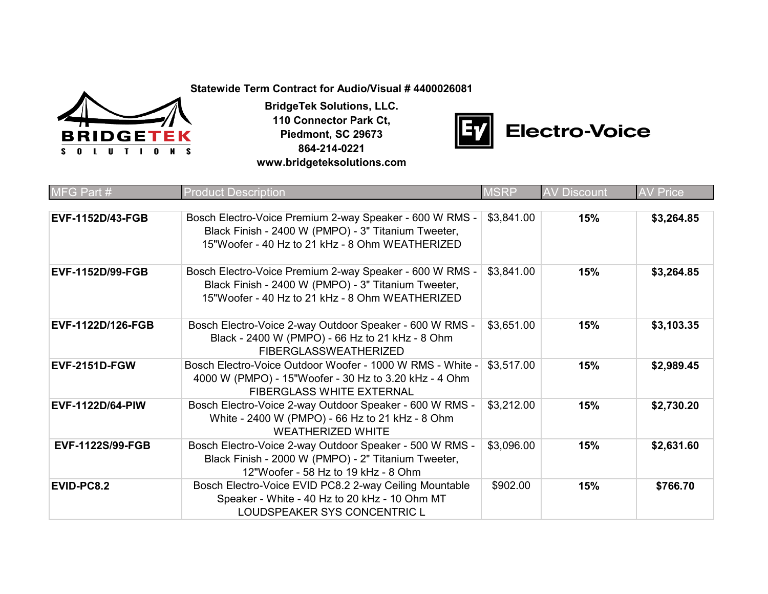**Statewide Term Contract for Audio/Visual # 4400026081**



**BridgeTek Solutions, LLC. 110 Connector Park Ct, Piedmont, SC 29673 864-214-0221 www.bridgeteksolutions.com**



| MFG Part #               | <b>Product Description</b>                                                                                                                                        | <b>MSRP</b> | <b>AV Discount</b> | <b>AV Price</b> |
|--------------------------|-------------------------------------------------------------------------------------------------------------------------------------------------------------------|-------------|--------------------|-----------------|
| <b>EVF-1152D/43-FGB</b>  | Bosch Electro-Voice Premium 2-way Speaker - 600 W RMS -<br>Black Finish - 2400 W (PMPO) - 3" Titanium Tweeter,<br>15"Woofer - 40 Hz to 21 kHz - 8 Ohm WEATHERIZED | \$3,841.00  | 15%                | \$3,264.85      |
| <b>EVF-1152D/99-FGB</b>  | Bosch Electro-Voice Premium 2-way Speaker - 600 W RMS -<br>Black Finish - 2400 W (PMPO) - 3" Titanium Tweeter,<br>15"Woofer - 40 Hz to 21 kHz - 8 Ohm WEATHERIZED | \$3,841.00  | 15%                | \$3,264.85      |
| <b>EVF-1122D/126-FGB</b> | Bosch Electro-Voice 2-way Outdoor Speaker - 600 W RMS -<br>Black - 2400 W (PMPO) - 66 Hz to 21 kHz - 8 Ohm<br><b>FIBERGLASSWEATHERIZED</b>                        | \$3,651.00  | 15%                | \$3,103.35      |
| <b>EVF-2151D-FGW</b>     | Bosch Electro-Voice Outdoor Woofer - 1000 W RMS - White -<br>4000 W (PMPO) - 15"Woofer - 30 Hz to 3.20 kHz - 4 Ohm<br><b>FIBERGLASS WHITE EXTERNAL</b>            | \$3,517.00  | 15%                | \$2,989.45      |
| <b>EVF-1122D/64-PIW</b>  | Bosch Electro-Voice 2-way Outdoor Speaker - 600 W RMS -<br>White - 2400 W (PMPO) - 66 Hz to 21 kHz - 8 Ohm<br><b>WEATHERIZED WHITE</b>                            | \$3,212.00  | 15%                | \$2,730.20      |
| <b>EVF-1122S/99-FGB</b>  | Bosch Electro-Voice 2-way Outdoor Speaker - 500 W RMS -<br>Black Finish - 2000 W (PMPO) - 2" Titanium Tweeter,<br>12"Woofer - 58 Hz to 19 kHz - 8 Ohm             | \$3,096.00  | 15%                | \$2,631.60      |
| <b>EVID-PC8.2</b>        | Bosch Electro-Voice EVID PC8.2 2-way Ceiling Mountable<br>Speaker - White - 40 Hz to 20 kHz - 10 Ohm MT<br>LOUDSPEAKER SYS CONCENTRIC L                           | \$902.00    | 15%                | \$766.70        |